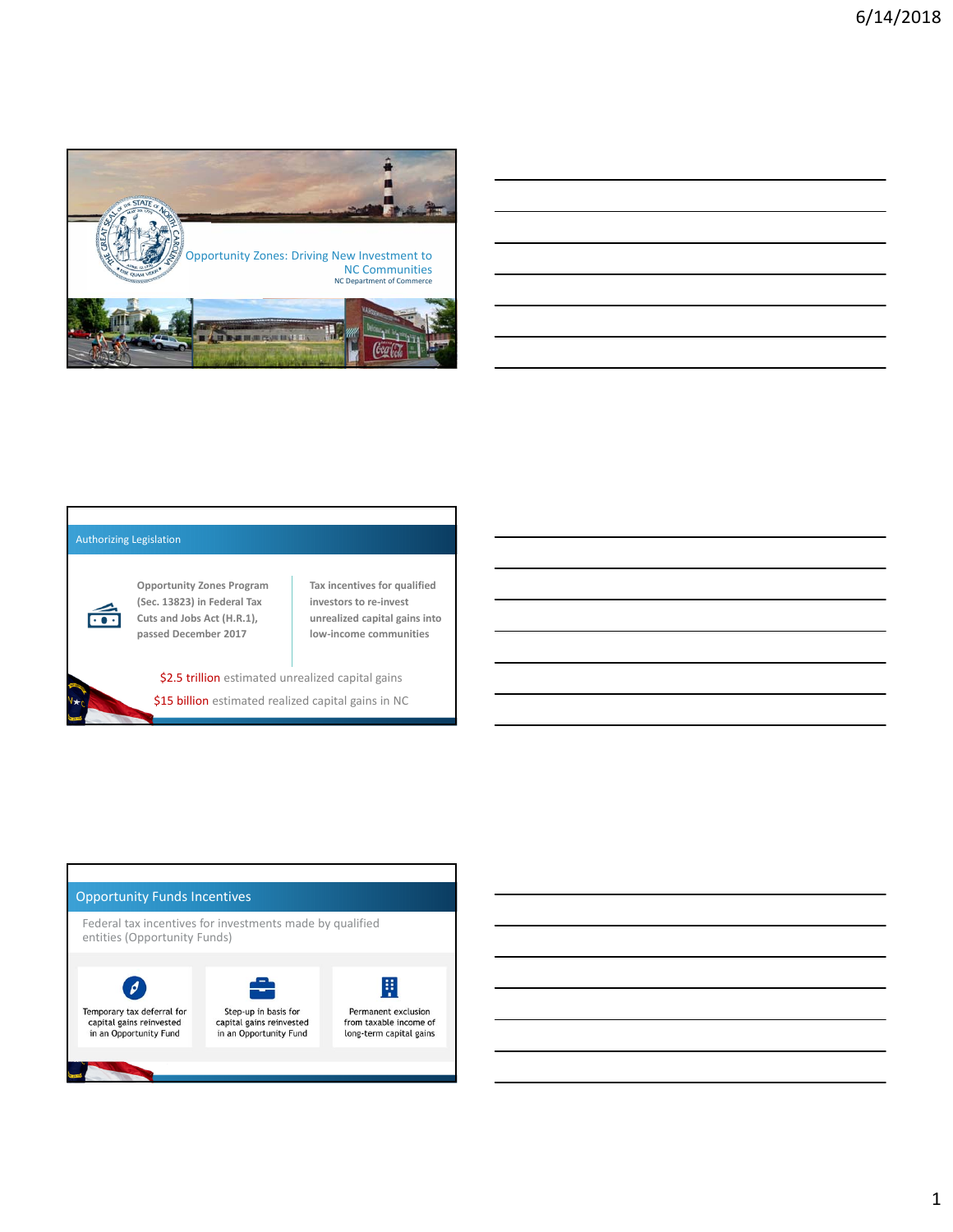

| <u> 1989 - Johann Stoff, amerikan bestemanns foar it ferskearre fan de ferskearre fan de ferskearre fan de ferske</u> |                                                                                                                      |  |  |
|-----------------------------------------------------------------------------------------------------------------------|----------------------------------------------------------------------------------------------------------------------|--|--|
|                                                                                                                       |                                                                                                                      |  |  |
|                                                                                                                       | ,我们也不会有什么。""我们的人,我们也不会有什么?""我们的人,我们也不会有什么?""我们的人,我们也不会有什么?""我们的人,我们也不会有什么?""我们的人                                     |  |  |
|                                                                                                                       | ,我们也不会有什么。""我们的人,我们也不会有什么?""我们的人,我们也不会有什么?""我们的人,我们也不会有什么?""我们的人,我们也不会有什么?""我们的人                                     |  |  |
|                                                                                                                       | <u> 1989 - Andrea Santa Andrea Andrea Andrea Andrea Andrea Andrea Andrea Andrea Andrea Andrea Andrea Andrea Andr</u> |  |  |
|                                                                                                                       |                                                                                                                      |  |  |

#### Authorizing Legislation



**Opportunity Zones Program (Sec. 13823) in Federal Tax Cuts and Jobs Act (H.R.1), passed December 2017**

**Tax incentives for qualified investors to re‐invest unrealized capital gains into low‐income communities**

\$2.5 trillion estimated unrealized capital gains \$15 billion estimated realized capital gains in NC

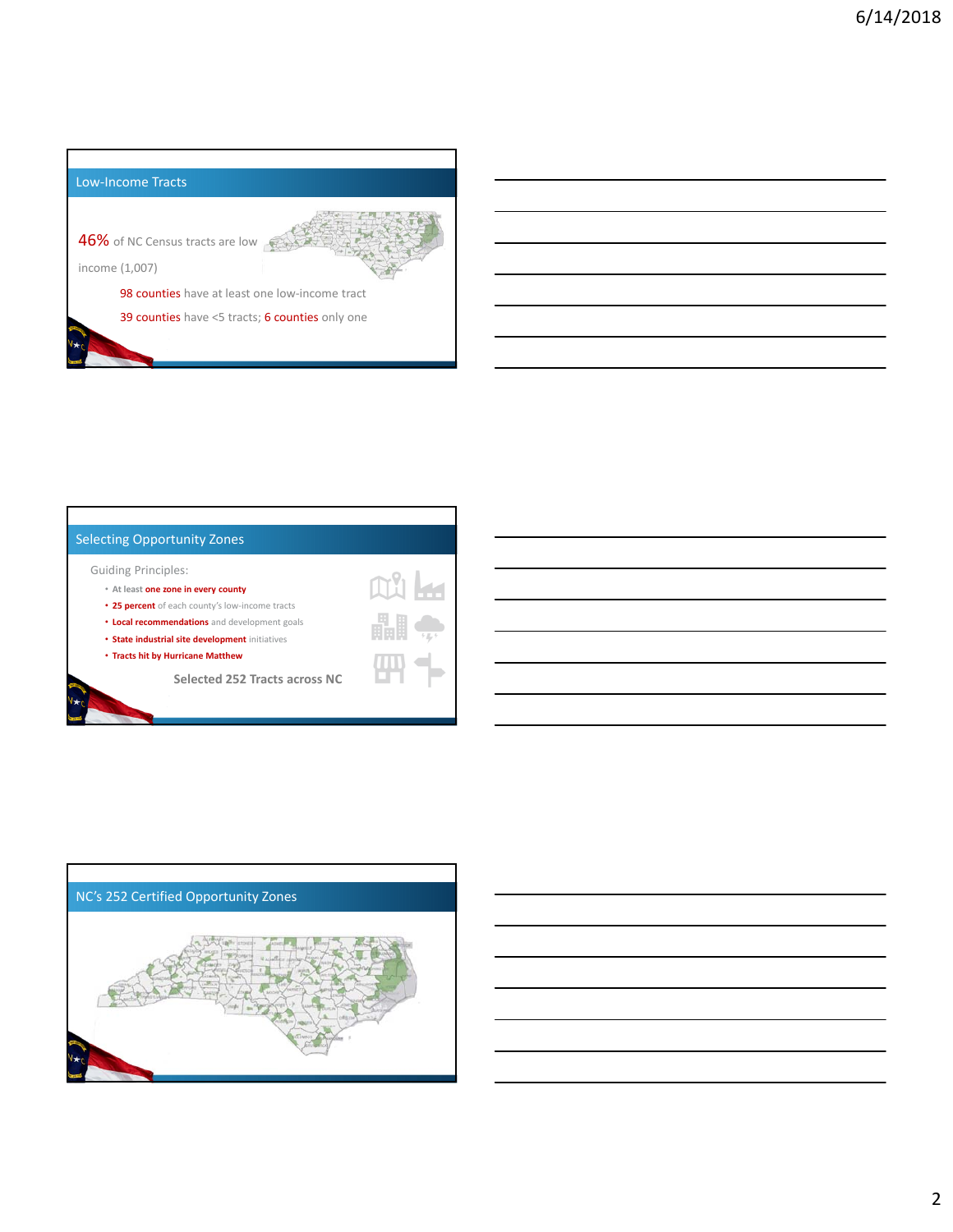



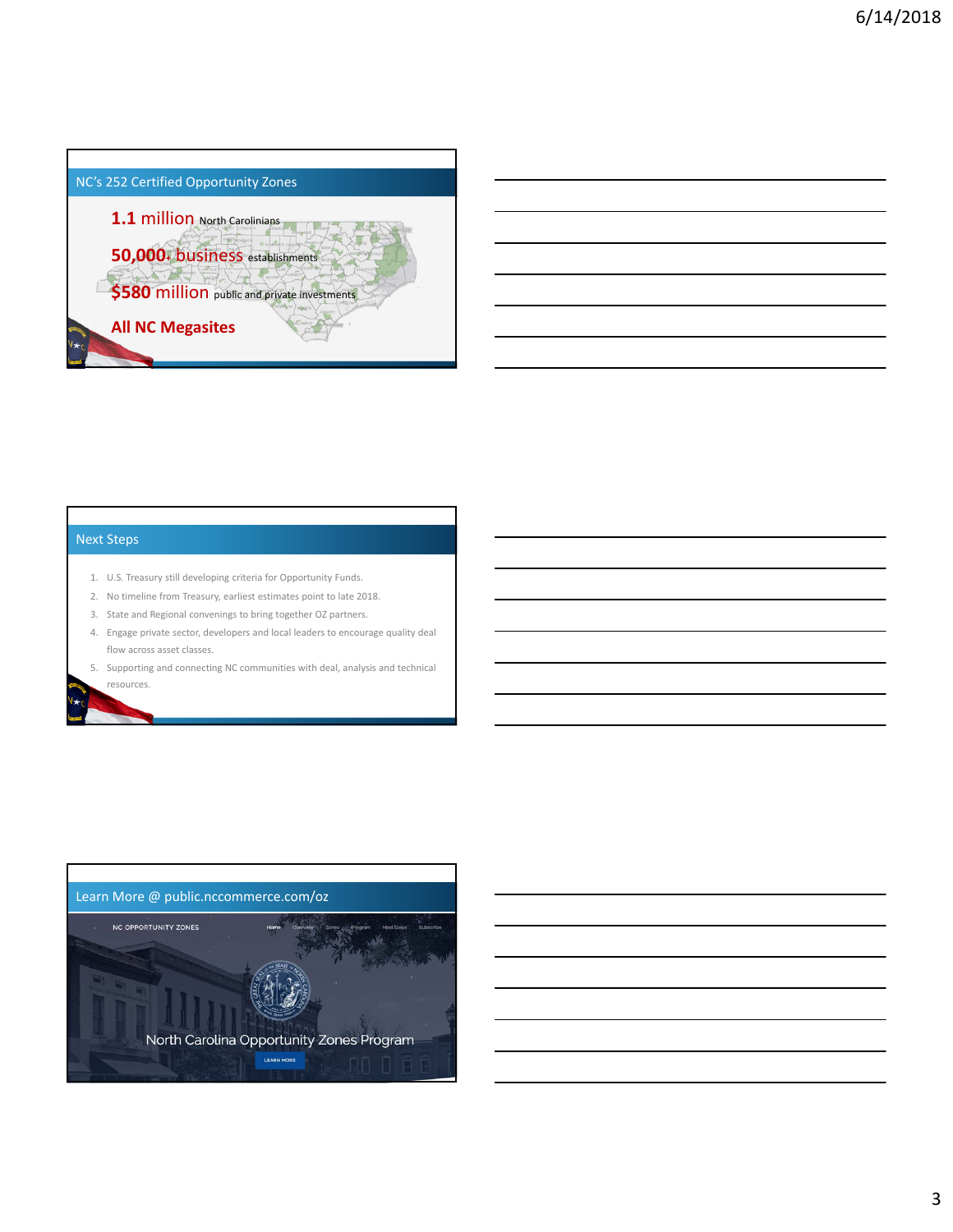

# Next Steps

- 1. U.S. Treasury still developing criteria for Opportunity Funds.
- 2. No timeline from Treasury, earliest estimates point to late 2018.
- 3. State and Regional convenings to bring together OZ partners.
- 4. Engage private sector, developers and local leaders to encourage quality deal flow across asset classes.
- 5. Supporting and connecting NC communities with deal, analysis and technical resources.